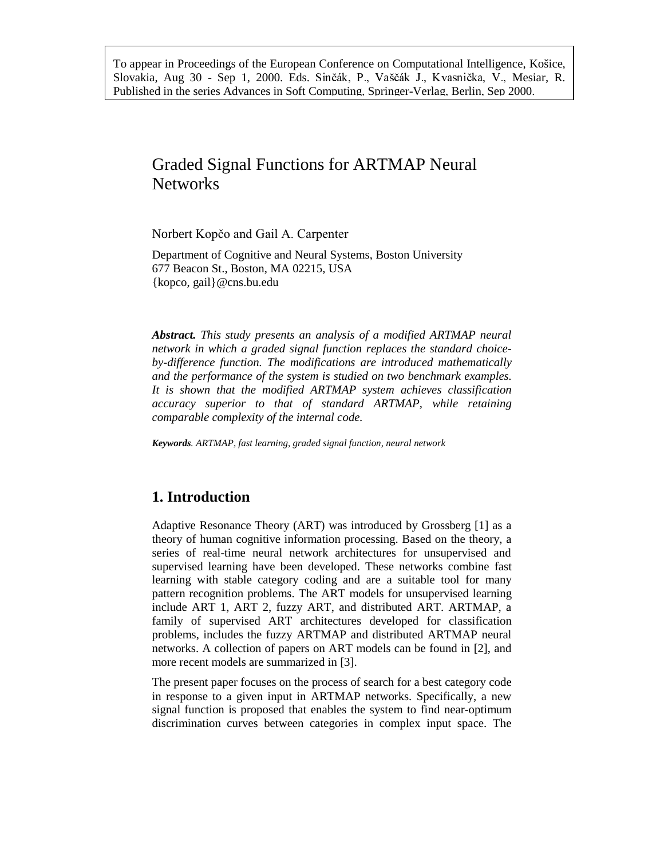To appear in Proceedings of the European Conference on Computational Intelligence, Košice, Slovakia, Aug 30 - Sep 1, 2000. Eds. Sinčák, P., Vaščák J., Kvasnička, V., Mesiar, R. Published in the series Advances in Soft Computing, Springer-Verlag, Berlin, Sep 2000.

# Graded Signal Functions for ARTMAP Neural Networks

Norbert Kopčo and Gail A. Carpenter

Department of Cognitive and Neural Systems, Boston University 677 Beacon St., Boston, MA 02215, USA {kopco, gail}@cns.bu.edu

*Abstract. This study presents an analysis of a modified ARTMAP neural network in which a graded signal function replaces the standard choiceby-difference function. The modifications are introduced mathematically and the performance of the system is studied on two benchmark examples. It is shown that the modified ARTMAP system achieves classification accuracy superior to that of standard ARTMAP, while retaining comparable complexity of the internal code.*

*Keywords. ARTMAP, fast learning, graded signal function, neural network*

## **1. Introduction**

Adaptive Resonance Theory (ART) was introduced by Grossberg [1] as a theory of human cognitive information processing. Based on the theory, a series of real-time neural network architectures for unsupervised and supervised learning have been developed. These networks combine fast learning with stable category coding and are a suitable tool for many pattern recognition problems. The ART models for unsupervised learning include ART 1, ART 2, fuzzy ART, and distributed ART. ARTMAP, a family of supervised ART architectures developed for classification problems, includes the fuzzy ARTMAP and distributed ARTMAP neural networks. A collection of papers on ART models can be found in [2], and more recent models are summarized in [3].

The present paper focuses on the process of search for a best category code in response to a given input in ARTMAP networks. Specifically, a new signal function is proposed that enables the system to find near-optimum discrimination curves between categories in complex input space. The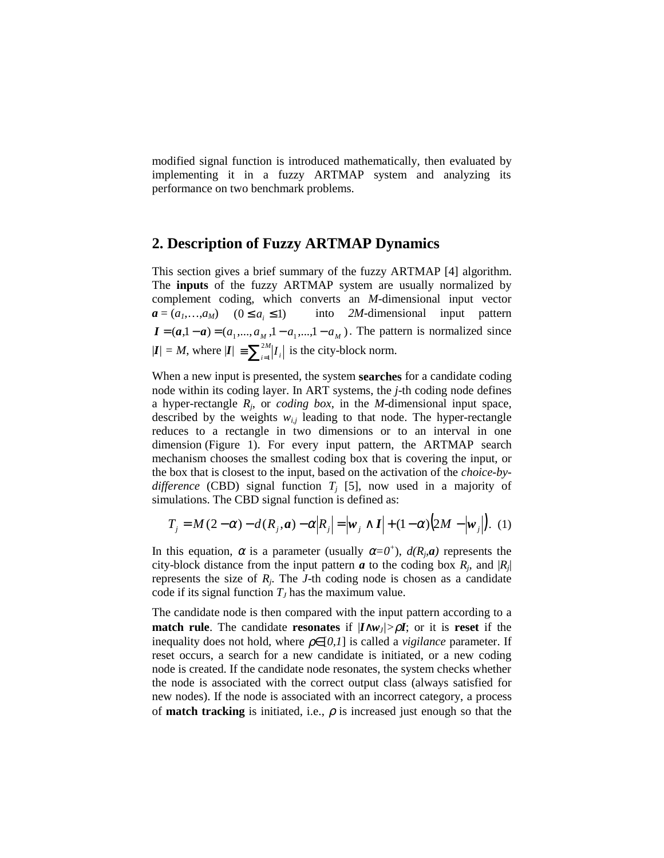modified signal function is introduced mathematically, then evaluated by implementing it in a fuzzy ARTMAP system and analyzing its performance on two benchmark problems.

#### **2. Description of Fuzzy ARTMAP Dynamics**

This section gives a brief summary of the fuzzy ARTMAP [4] algorithm. The **inputs** of the fuzzy ARTMAP system are usually normalized by complement coding, which converts an *M*-dimensional input vector  $a = (a_1, \ldots, a_M)$   $(0 \le a_i \le 1)$  *into 2M*-dimensional input pattern  $I = (a,1 - a) = (a_1, ..., a_M,1 - a_1, ...,1 - a_M)$ . The pattern is normalized since  $|I| = M$ , where  $|I| = \sum_{i=1}^{2M} |I_i|$  is the city-block norm.

When a new input is presented, the system **searches** for a candidate coding node within its coding layer. In ART systems, the *j*-th coding node defines a hyper-rectangle *Rj*, or *coding box*, in the *M*-dimensional input space, described by the weights  $w_{i,j}$  leading to that node. The hyper-rectangle reduces to a rectangle in two dimensions or to an interval in one dimension (Figure 1). For every input pattern, the ARTMAP search mechanism chooses the smallest coding box that is covering the input, or the box that is closest to the input, based on the activation of the *choice-bydifference* (CBD) signal function  $T_i$  [5], now used in a majority of simulations. The CBD signal function is defined as:

$$
T_j = M(2-\alpha) - d(R_j, a) - \alpha |R_j| = |\mathbf{w}_j \wedge \mathbf{I}| + (1-\alpha) (2M - |\mathbf{w}_j|). \tag{1}
$$

In this equation,  $\alpha$  is a parameter (usually  $\alpha = 0^+$ ),  $d(R_i, a)$  represents the city-block distance from the input pattern  $\boldsymbol{a}$  to the coding box  $R_i$ , and  $|R_i|$ represents the size of  $R_i$ . The *J*-th coding node is chosen as a candidate code if its signal function  $T<sub>I</sub>$  has the maximum value.

The candidate node is then compared with the input pattern according to a **match rule**. The candidate **resonates** if  $|I \wedge w_J| > \rho I$ ; or it is **reset** if the inequality does not hold, where  $\rho \in [0,1]$  is called a *vigilance* parameter. If reset occurs, a search for a new candidate is initiated, or a new coding node is created. If the candidate node resonates, the system checks whether the node is associated with the correct output class (always satisfied for new nodes). If the node is associated with an incorrect category, a process of **match tracking** is initiated, i.e.,  $\rho$  is increased just enough so that the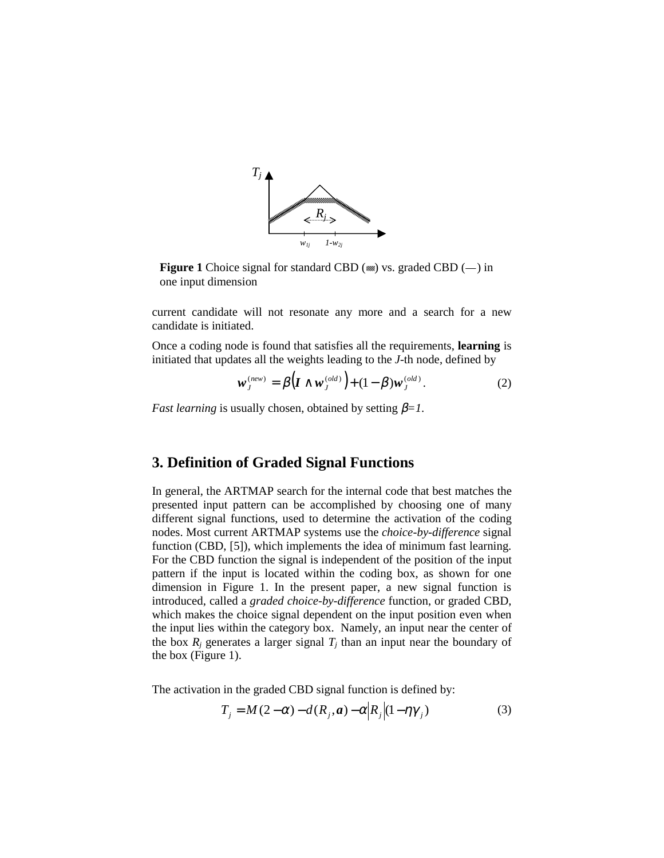

**Figure 1** Choice signal for standard CBD  $(m)$  vs. graded CBD  $(-)$  in one input dimension

current candidate will not resonate any more and a search for a new candidate is initiated.

Once a coding node is found that satisfies all the requirements, **learning** is initiated that updates all the weights leading to the *J*-th node, defined by

$$
\mathbf{w}_J^{(new)} = \beta \Big( \mathbf{I} \wedge \mathbf{w}_J^{(old)} \Big) + (1 - \beta) \mathbf{w}_J^{(old)}.
$$
 (2)

*Fast learning* is usually chosen, obtained by setting  $\beta = 1$ .

## **3. Definition of Graded Signal Functions**

In general, the ARTMAP search for the internal code that best matches the presented input pattern can be accomplished by choosing one of many different signal functions, used to determine the activation of the coding nodes. Most current ARTMAP systems use the *choice-by-difference* signal function (CBD, [5]), which implements the idea of minimum fast learning. For the CBD function the signal is independent of the position of the input pattern if the input is located within the coding box, as shown for one dimension in Figure 1. In the present paper, a new signal function is introduced, called a *graded choice-by-difference* function, or graded CBD, which makes the choice signal dependent on the input position even when the input lies within the category box. Namely, an input near the center of the box  $R_i$  generates a larger signal  $T_i$  than an input near the boundary of the box (Figure 1).

The activation in the graded CBD signal function is defined by:

$$
T_j = M(2-\alpha) - d(R_j, a) - \alpha |R_j| (1 - \eta \gamma_j)
$$
\n(3)

**Carl Carl**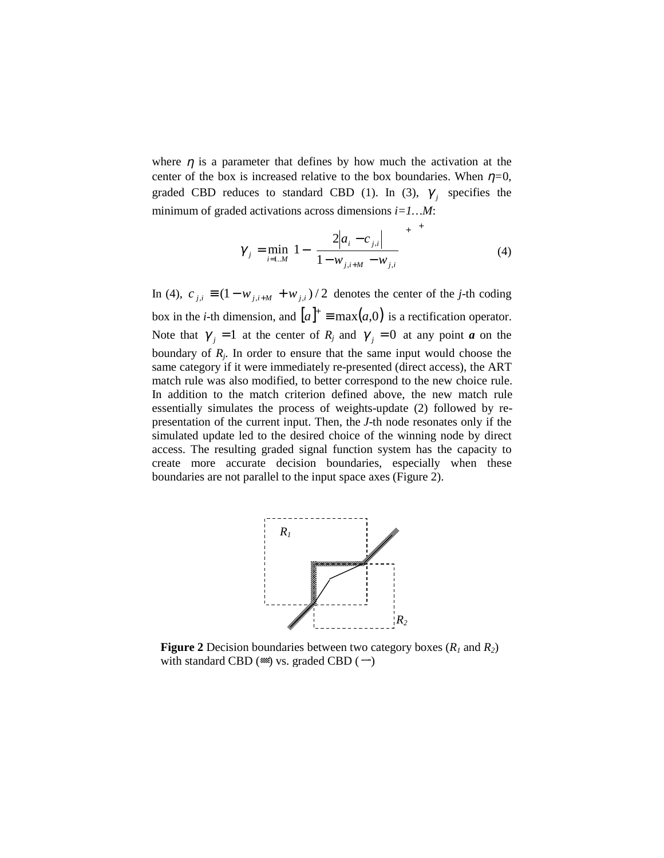where  $\eta$  is a parameter that defines by how much the activation at the center of the box is increased relative to the box boundaries. When  $\eta=0$ , graded CBD reduces to standard CBD (1). In (3),  $\gamma_i$  specifies the minimum of graded activations across dimensions *i=1…M*:

$$
\gamma_{j} = \min_{i=1..M} \left[ 1 - \left[ \frac{2|a_{i} - c_{j,i}|}{1 - w_{j,i+M} - w_{j,i}} \right]^{+} \right]^{+}
$$
(4)

In (4),  $c_{i,i}$  ≡  $(1 - w_{i,i+M} + w_{i,i})/2$  denotes the center of the *j*-th coding box in the *i*-th dimension, and  $[a]^{\dagger} \equiv \max(a,0)$  is a rectification operator. Note that  $\gamma_i = 1$  at the center of  $R_j$  and  $\gamma_i = 0$  at any point *a* on the boundary of  $R_j$ . In order to ensure that the same input would choose the same category if it were immediately re-presented (direct access), the ART match rule was also modified, to better correspond to the new choice rule. In addition to the match criterion defined above, the new match rule essentially simulates the process of weights-update (2) followed by representation of the current input. Then, the *J*-th node resonates only if the simulated update led to the desired choice of the winning node by direct access. The resulting graded signal function system has the capacity to create more accurate decision boundaries, especially when these boundaries are not parallel to the input space axes (Figure 2).



**Figure 2** Decision boundaries between two category boxes  $(R_1 \text{ and } R_2)$ with standard CBD  $(\omega)$  vs. graded CBD  $(\neg)$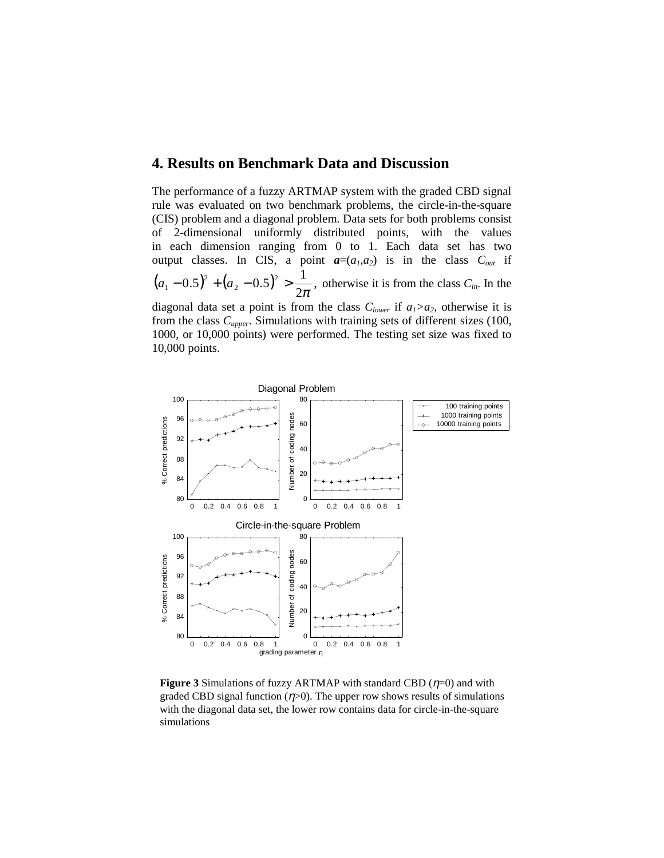### **4. Results on Benchmark Data and Discussion**

The performance of a fuzzy ARTMAP system with the graded CBD signal rule was evaluated on two benchmark problems, the circle-in-the-square (CIS) problem and a diagonal problem. Data sets for both problems consist of 2-dimensional uniformly distributed points, with the values in each dimension ranging from 0 to 1. Each data set has two output classes. In CIS, a point  $a=(a_1,a_2)$  is in the class  $C_{out}$  if  $(a_1 - 0.5)^2 + (a_2 - 0.5)^2 > \frac{1}{2\pi},$ 2  $a_1 - 0.5)^2 + (a_2 - 0.5)^2 > \frac{1}{2\pi}$ , otherwise it is from the class  $C_{in}$ . In the

diagonal data set a point is from the class  $C_{lower}$  if  $a_1 > a_2$ , otherwise it is from the class *Cupper*. Simulations with training sets of different sizes (100, 1000, or 10,000 points) were performed. The testing set size was fixed to 10,000 points.



**Figure 3** Simulations of fuzzy ARTMAP with standard CBD  $(\eta=0)$  and with graded CBD signal function  $(\eta > 0)$ . The upper row shows results of simulations with the diagonal data set, the lower row contains data for circle-in-the-square simulations